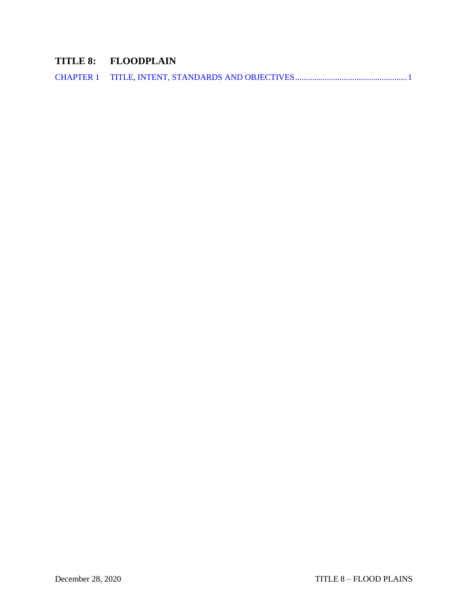# **TITLE 8: FLOODPLAIN**

|--|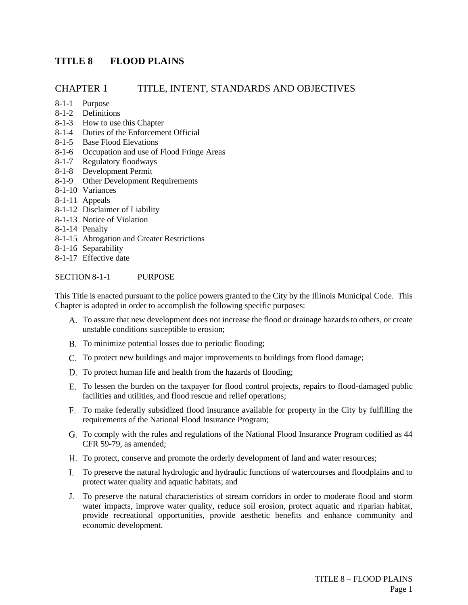## **TITLE 8 FLOOD PLAINS**

## <span id="page-1-0"></span>CHAPTER 1 TITLE, INTENT, STANDARDS AND OBJECTIVES

- 8-1-1 Purpose
- 8-1-2 Definitions
- 8-1-3 How to use this Chapter
- 8-1-4 Duties of the Enforcement Official
- 8-1-5 Base Flood Elevations
- 8-1-6 Occupation and use of Flood Fringe Areas
- 8-1-7 Regulatory floodways
- 8-1-8 Development Permit
- 8-1-9 Other Development Requirements
- 8-1-10 Variances
- 8-1-11 Appeals
- 8-1-12 Disclaimer of Liability
- 8-1-13 Notice of Violation
- 8-1-14 Penalty
- 8-1-15 Abrogation and Greater Restrictions
- 8-1-16 Separability
- 8-1-17 Effective date

#### SECTION 8-1-1 PURPOSE

This Title is enacted pursuant to the police powers granted to the City by the Illinois Municipal Code. This Chapter is adopted in order to accomplish the following specific purposes:

- To assure that new development does not increase the flood or drainage hazards to others, or create unstable conditions susceptible to erosion;
- B. To minimize potential losses due to periodic flooding;
- To protect new buildings and major improvements to buildings from flood damage;
- D. To protect human life and health from the hazards of flooding;
- To lessen the burden on the taxpayer for flood control projects, repairs to flood-damaged public facilities and utilities, and flood rescue and relief operations;
- To make federally subsidized flood insurance available for property in the City by fulfilling the requirements of the National Flood Insurance Program;
- To comply with the rules and regulations of the National Flood Insurance Program codified as 44 CFR 59-79, as amended;
- To protect, conserve and promote the orderly development of land and water resources;
- To preserve the natural hydrologic and hydraulic functions of watercourses and floodplains and to protect water quality and aquatic habitats; and
- To preserve the natural characteristics of stream corridors in order to moderate flood and storm water impacts, improve water quality, reduce soil erosion, protect aquatic and riparian habitat, provide recreational opportunities, provide aesthetic benefits and enhance community and economic development.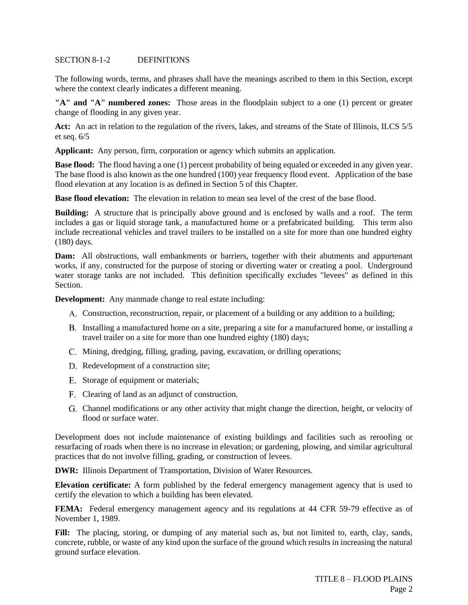#### SECTION 8-1-2 DEFINITIONS

The following words, terms, and phrases shall have the meanings ascribed to them in this Section, except where the context clearly indicates a different meaning.

**"A" and "A" numbered zones:** Those areas in the floodplain subject to a one (1) percent or greater change of flooding in any given year.

**Act:** An act in relation to the regulation of the rivers, lakes, and streams of the State of Illinois, ILCS 5/5 et seq. 6/5

**Applicant:** Any person, firm, corporation or agency which submits an application.

**Base flood:** The flood having a one (1) percent probability of being equaled or exceeded in any given year. The base flood is also known as the one hundred (100) year frequency flood event. Application of the base flood elevation at any location is as defined in Section 5 of this Chapter.

**Base flood elevation:** The elevation in relation to mean sea level of the crest of the base flood.

**Building:** A structure that is principally above ground and is enclosed by walls and a roof. The term includes a gas or liquid storage tank, a manufactured home or a prefabricated building. This term also include recreational vehicles and travel trailers to be installed on a site for more than one hundred eighty (180) days.

**Dam:** All obstructions, wall embankments or barriers, together with their abutments and appurtenant works, if any, constructed for the purpose of storing or diverting water or creating a pool. Underground water storage tanks are not included. This definition specifically excludes "levees" as defined in this Section.

**Development:** Any manmade change to real estate including:

- Construction, reconstruction, repair, or placement of a building or any addition to a building;
- B. Installing a manufactured home on a site, preparing a site for a manufactured home, or installing a travel trailer on a site for more than one hundred eighty (180) days;
- C. Mining, dredging, filling, grading, paving, excavation, or drilling operations;
- D. Redevelopment of a construction site;
- E. Storage of equipment or materials;
- Clearing of land as an adjunct of construction.
- Channel modifications or any other activity that might change the direction, height, or velocity of flood or surface water.

Development does not include maintenance of existing buildings and facilities such as reroofing or resurfacing of roads when there is no increase in elevation; or gardening, plowing, and similar agricultural practices that do not involve filling, grading, or construction of levees.

**DWR:** Illinois Department of Transportation, Division of Water Resources.

**Elevation certificate:** A form published by the federal emergency management agency that is used to certify the elevation to which a building has been elevated.

**FEMA:** Federal emergency management agency and its regulations at 44 CFR 59-79 effective as of November 1, 1989.

Fill: The placing, storing, or dumping of any material such as, but not limited to, earth, clay, sands, concrete, rubble, or waste of any kind upon the surface of the ground which results in increasing the natural ground surface elevation.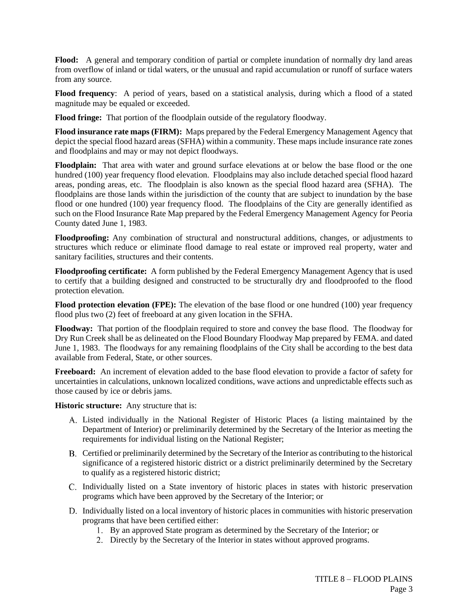**Flood:** A general and temporary condition of partial or complete inundation of normally dry land areas from overflow of inland or tidal waters, or the unusual and rapid accumulation or runoff of surface waters from any source.

**Flood frequency**: A period of years, based on a statistical analysis, during which a flood of a stated magnitude may be equaled or exceeded.

**Flood fringe:** That portion of the floodplain outside of the regulatory floodway.

**Flood insurance rate maps (FIRM):** Maps prepared by the Federal Emergency Management Agency that depict the special flood hazard areas (SFHA) within a community. These maps include insurance rate zones and floodplains and may or may not depict floodways.

**Floodplain:** That area with water and ground surface elevations at or below the base flood or the one hundred (100) year frequency flood elevation. Floodplains may also include detached special flood hazard areas, ponding areas, etc. The floodplain is also known as the special flood hazard area (SFHA). The floodplains are those lands within the jurisdiction of the county that are subject to inundation by the base flood or one hundred (100) year frequency flood. The floodplains of the City are generally identified as such on the Flood Insurance Rate Map prepared by the Federal Emergency Management Agency for Peoria County dated June 1, 1983.

**Floodproofing:** Any combination of structural and nonstructural additions, changes, or adjustments to structures which reduce or eliminate flood damage to real estate or improved real property, water and sanitary facilities, structures and their contents.

**Floodproofing certificate:** A form published by the Federal Emergency Management Agency that is used to certify that a building designed and constructed to be structurally dry and floodproofed to the flood protection elevation.

**Flood protection elevation (FPE):** The elevation of the base flood or one hundred (100) year frequency flood plus two (2) feet of freeboard at any given location in the SFHA.

**Floodway:** That portion of the floodplain required to store and convey the base flood. The floodway for Dry Run Creek shall be as delineated on the Flood Boundary Floodway Map prepared by FEMA. and dated June 1, 1983. The floodways for any remaining floodplains of the City shall be according to the best data available from Federal, State, or other sources.

**Freeboard:** An increment of elevation added to the base flood elevation to provide a factor of safety for uncertainties in calculations, unknown localized conditions, wave actions and unpredictable effects such as those caused by ice or debris jams.

**Historic structure:** Any structure that is:

- Listed individually in the National Register of Historic Places (a listing maintained by the Department of Interior) or preliminarily determined by the Secretary of the Interior as meeting the requirements for individual listing on the National Register;
- B. Certified or preliminarily determined by the Secretary of the Interior as contributing to the historical significance of a registered historic district or a district preliminarily determined by the Secretary to qualify as a registered historic district;
- C. Individually listed on a State inventory of historic places in states with historic preservation programs which have been approved by the Secretary of the Interior; or
- D. Individually listed on a local inventory of historic places in communities with historic preservation programs that have been certified either:
	- 1. By an approved State program as determined by the Secretary of the Interior; or
	- Directly by the Secretary of the Interior in states without approved programs.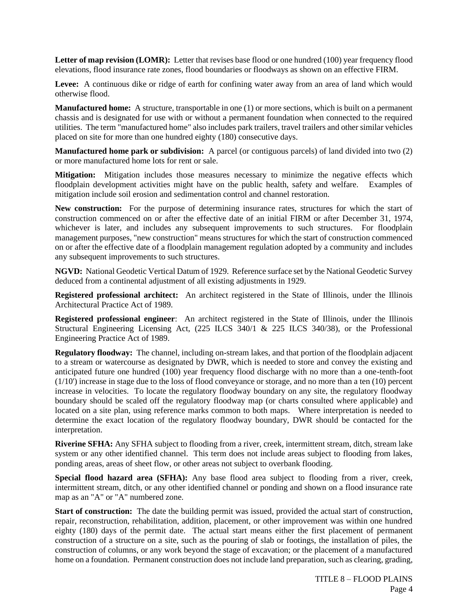**Letter of map revision (LOMR):** Letter that revises base flood or one hundred (100) year frequency flood elevations, flood insurance rate zones, flood boundaries or floodways as shown on an effective FIRM.

Levee: A continuous dike or ridge of earth for confining water away from an area of land which would otherwise flood.

**Manufactured home:** A structure, transportable in one (1) or more sections, which is built on a permanent chassis and is designated for use with or without a permanent foundation when connected to the required utilities. The term "manufactured home" also includes park trailers, travel trailers and other similar vehicles placed on site for more than one hundred eighty (180) consecutive days.

**Manufactured home park or subdivision:** A parcel (or contiguous parcels) of land divided into two (2) or more manufactured home lots for rent or sale.

**Mitigation:** Mitigation includes those measures necessary to minimize the negative effects which floodplain development activities might have on the public health, safety and welfare. Examples of mitigation include soil erosion and sedimentation control and channel restoration.

**New construction:** For the purpose of determining insurance rates, structures for which the start of construction commenced on or after the effective date of an initial FIRM or after December 31, 1974, whichever is later, and includes any subsequent improvements to such structures. For floodplain management purposes, "new construction" means structures for which the start of construction commenced on or after the effective date of a floodplain management regulation adopted by a community and includes any subsequent improvements to such structures.

**NGVD:** National Geodetic Vertical Datum of 1929. Reference surface set by the National Geodetic Survey deduced from a continental adjustment of all existing adjustments in 1929.

**Registered professional architect:** An architect registered in the State of Illinois, under the Illinois Architectural Practice Act of 1989.

**Registered professional engineer**: An architect registered in the State of Illinois, under the Illinois Structural Engineering Licensing Act, (225 ILCS 340/1 & 225 ILCS 340/38), or the Professional Engineering Practice Act of 1989.

**Regulatory floodway:** The channel, including on-stream lakes, and that portion of the floodplain adjacent to a stream or watercourse as designated by DWR, which is needed to store and convey the existing and anticipated future one hundred (100) year frequency flood discharge with no more than a one-tenth-foot (1/10') increase in stage due to the loss of flood conveyance or storage, and no more than a ten (10) percent increase in velocities. To locate the regulatory floodway boundary on any site, the regulatory floodway boundary should be scaled off the regulatory floodway map (or charts consulted where applicable) and located on a site plan, using reference marks common to both maps. Where interpretation is needed to determine the exact location of the regulatory floodway boundary, DWR should be contacted for the interpretation.

**Riverine SFHA:** Any SFHA subject to flooding from a river, creek, intermittent stream, ditch, stream lake system or any other identified channel. This term does not include areas subject to flooding from lakes, ponding areas, areas of sheet flow, or other areas not subject to overbank flooding.

**Special flood hazard area (SFHA):** Any base flood area subject to flooding from a river, creek, intermittent stream, ditch, or any other identified channel or ponding and shown on a flood insurance rate map as an "A" or "A" numbered zone.

**Start of construction:** The date the building permit was issued, provided the actual start of construction, repair, reconstruction, rehabilitation, addition, placement, or other improvement was within one hundred eighty (180) days of the permit date. The actual start means either the first placement of permanent construction of a structure on a site, such as the pouring of slab or footings, the installation of piles, the construction of columns, or any work beyond the stage of excavation; or the placement of a manufactured home on a foundation. Permanent construction does not include land preparation, such as clearing, grading,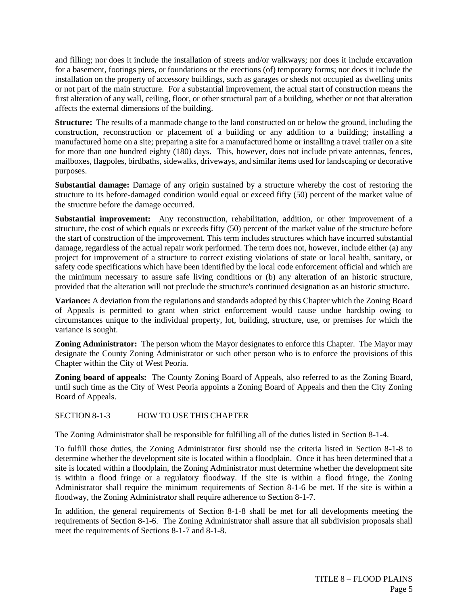and filling; nor does it include the installation of streets and/or walkways; nor does it include excavation for a basement, footings piers, or foundations or the erections (of) temporary forms; nor does it include the installation on the property of accessory buildings, such as garages or sheds not occupied as dwelling units or not part of the main structure. For a substantial improvement, the actual start of construction means the first alteration of any wall, ceiling, floor, or other structural part of a building, whether or not that alteration affects the external dimensions of the building.

**Structure:** The results of a manmade change to the land constructed on or below the ground, including the construction, reconstruction or placement of a building or any addition to a building; installing a manufactured home on a site; preparing a site for a manufactured home or installing a travel trailer on a site for more than one hundred eighty (180) days. This, however, does not include private antennas, fences, mailboxes, flagpoles, birdbaths, sidewalks, driveways, and similar items used for landscaping or decorative purposes.

**Substantial damage:** Damage of any origin sustained by a structure whereby the cost of restoring the structure to its before-damaged condition would equal or exceed fifty (50) percent of the market value of the structure before the damage occurred.

**Substantial improvement:** Any reconstruction, rehabilitation, addition, or other improvement of a structure, the cost of which equals or exceeds fifty (50) percent of the market value of the structure before the start of construction of the improvement. This term includes structures which have incurred substantial damage, regardless of the actual repair work performed. The term does not, however, include either (a) any project for improvement of a structure to correct existing violations of state or local health, sanitary, or safety code specifications which have been identified by the local code enforcement official and which are the minimum necessary to assure safe living conditions or (b) any alteration of an historic structure, provided that the alteration will not preclude the structure's continued designation as an historic structure.

**Variance:** A deviation from the regulations and standards adopted by this Chapter which the Zoning Board of Appeals is permitted to grant when strict enforcement would cause undue hardship owing to circumstances unique to the individual property, lot, building, structure, use, or premises for which the variance is sought.

**Zoning Administrator:** The person whom the Mayor designates to enforce this Chapter. The Mayor may designate the County Zoning Administrator or such other person who is to enforce the provisions of this Chapter within the City of West Peoria.

**Zoning board of appeals:** The County Zoning Board of Appeals, also referred to as the Zoning Board, until such time as the City of West Peoria appoints a Zoning Board of Appeals and then the City Zoning Board of Appeals.

SECTION 8-1-3 HOW TO USE THIS CHAPTER

The Zoning Administrator shall be responsible for fulfilling all of the duties listed in Section 8-1-4.

To fulfill those duties, the Zoning Administrator first should use the criteria listed in Section 8-1-8 to determine whether the development site is located within a floodplain. Once it has been determined that a site is located within a floodplain, the Zoning Administrator must determine whether the development site is within a flood fringe or a regulatory floodway. If the site is within a flood fringe, the Zoning Administrator shall require the minimum requirements of Section 8-1-6 be met. If the site is within a floodway, the Zoning Administrator shall require adherence to Section 8-1-7.

In addition, the general requirements of Section 8-1-8 shall be met for all developments meeting the requirements of Section 8-1-6. The Zoning Administrator shall assure that all subdivision proposals shall meet the requirements of Sections 8-1-7 and 8-1-8.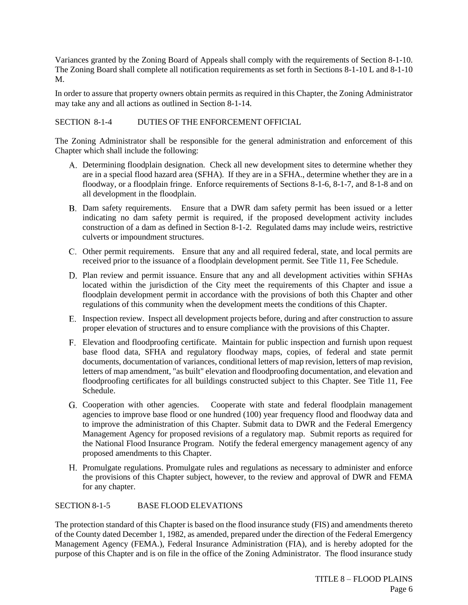Variances granted by the Zoning Board of Appeals shall comply with the requirements of Section 8-1-10. The Zoning Board shall complete all notification requirements as set forth in Sections 8-1-10 L and 8-1-10 M.

In order to assure that property owners obtain permits as required in this Chapter, the Zoning Administrator may take any and all actions as outlined in Section 8-1-14.

## SECTION 8-1-4 DUTIES OF THE ENFORCEMENT OFFICIAL

The Zoning Administrator shall be responsible for the general administration and enforcement of this Chapter which shall include the following:

- Determining floodplain designation. Check all new development sites to determine whether they are in a special flood hazard area (SFHA). If they are in a SFHA., determine whether they are in a floodway, or a floodplain fringe. Enforce requirements of Sections 8-1-6, 8-1-7, and 8-1-8 and on all development in the floodplain.
- Dam safety requirements. Ensure that a DWR dam safety permit has been issued or a letter indicating no dam safety permit is required, if the proposed development activity includes construction of a dam as defined in Section 8-1-2. Regulated dams may include weirs, restrictive culverts or impoundment structures.
- Other permit requirements. Ensure that any and all required federal, state, and local permits are received prior to the issuance of a floodplain development permit. See Title 11, Fee Schedule.
- D. Plan review and permit issuance. Ensure that any and all development activities within SFHAs located within the jurisdiction of the City meet the requirements of this Chapter and issue a floodplain development permit in accordance with the provisions of both this Chapter and other regulations of this community when the development meets the conditions of this Chapter.
- E. Inspection review. Inspect all development projects before, during and after construction to assure proper elevation of structures and to ensure compliance with the provisions of this Chapter.
- Elevation and floodproofing certificate. Maintain for public inspection and furnish upon request base flood data, SFHA and regulatory floodway maps, copies, of federal and state permit documents, documentation of variances, conditional letters of map revision, letters of map revision, letters of map amendment, "as built" elevation and floodproofing documentation, and elevation and floodproofing certificates for all buildings constructed subject to this Chapter. See Title 11, Fee Schedule.
- Cooperation with other agencies. Cooperate with state and federal floodplain management agencies to improve base flood or one hundred (100) year frequency flood and floodway data and to improve the administration of this Chapter. Submit data to DWR and the Federal Emergency Management Agency for proposed revisions of a regulatory map. Submit reports as required for the National Flood Insurance Program. Notify the federal emergency management agency of any proposed amendments to this Chapter.
- Promulgate regulations. Promulgate rules and regulations as necessary to administer and enforce the provisions of this Chapter subject, however, to the review and approval of DWR and FEMA for any chapter.

#### SECTION 8-1-5 BASE FLOOD ELEVATIONS

The protection standard of this Chapter is based on the flood insurance study (FIS) and amendments thereto of the County dated December 1, 1982, as amended, prepared under the direction of the Federal Emergency Management Agency (FEMA.), Federal Insurance Administration (FIA), and is hereby adopted for the purpose of this Chapter and is on file in the office of the Zoning Administrator. The flood insurance study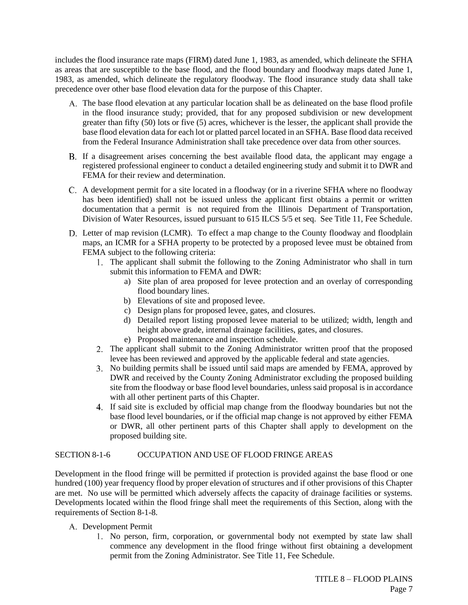includes the flood insurance rate maps (FIRM) dated June 1, 1983, as amended, which delineate the SFHA as areas that are susceptible to the base flood, and the flood boundary and floodway maps dated June 1, 1983, as amended, which delineate the regulatory floodway. The flood insurance study data shall take precedence over other base flood elevation data for the purpose of this Chapter.

- The base flood elevation at any particular location shall be as delineated on the base flood profile in the flood insurance study; provided, that for any proposed subdivision or new development greater than fifty (50) lots or five (5) acres, whichever is the lesser, the applicant shall provide the base flood elevation data for each lot or platted parcel located in an SFHA. Base flood data received from the Federal Insurance Administration shall take precedence over data from other sources.
- If a disagreement arises concerning the best available flood data, the applicant may engage a registered professional engineer to conduct a detailed engineering study and submit it to DWR and FEMA for their review and determination.
- A development permit for a site located in a floodway (or in a riverine SFHA where no floodway has been identified) shall not be issued unless the applicant first obtains a permit or written documentation that a permit is not required from the Illinois Department of Transportation, Division of Water Resources, issued pursuant to 615 ILCS 5/5 et seq. See Title 11, Fee Schedule.
- Letter of map revision (LCMR). To effect a map change to the County floodway and floodplain maps, an ICMR for a SFHA property to be protected by a proposed levee must be obtained from FEMA subject to the following criteria:
	- The applicant shall submit the following to the Zoning Administrator who shall in turn submit this information to FEMA and DWR:
		- a) Site plan of area proposed for levee protection and an overlay of corresponding flood boundary lines.
		- b) Elevations of site and proposed levee.
		- c) Design plans for proposed levee, gates, and closures.
		- d) Detailed report listing proposed levee material to be utilized; width, length and height above grade, internal drainage facilities, gates, and closures.
		- e) Proposed maintenance and inspection schedule.
	- 2. The applicant shall submit to the Zoning Administrator written proof that the proposed levee has been reviewed and approved by the applicable federal and state agencies.
	- No building permits shall be issued until said maps are amended by FEMA, approved by DWR and received by the County Zoning Administrator excluding the proposed building site from the floodway or base flood level boundaries, unless said proposal is in accordance with all other pertinent parts of this Chapter.
	- If said site is excluded by official map change from the floodway boundaries but not the base flood level boundaries, or if the official map change is not approved by either FEMA or DWR, all other pertinent parts of this Chapter shall apply to development on the proposed building site.

## SECTION 8-1-6 OCCUPATION AND USE OF FLOOD FRINGE AREAS

Development in the flood fringe will be permitted if protection is provided against the base flood or one hundred (100) year frequency flood by proper elevation of structures and if other provisions of this Chapter are met. No use will be permitted which adversely affects the capacity of drainage facilities or systems. Developments located within the flood fringe shall meet the requirements of this Section, along with the requirements of Section 8-1-8.

- Development Permit
	- No person, firm, corporation, or governmental body not exempted by state law shall commence any development in the flood fringe without first obtaining a development permit from the Zoning Administrator. See Title 11, Fee Schedule.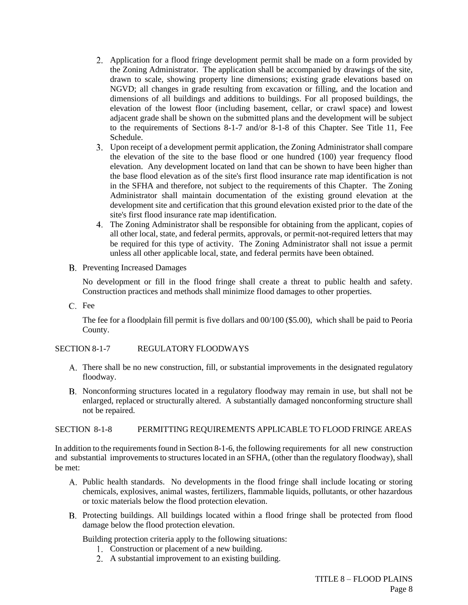- Application for a flood fringe development permit shall be made on a form provided by the Zoning Administrator. The application shall be accompanied by drawings of the site, drawn to scale, showing property line dimensions; existing grade elevations based on NGVD; all changes in grade resulting from excavation or filling, and the location and dimensions of all buildings and additions to buildings. For all proposed buildings, the elevation of the lowest floor (including basement, cellar, or crawl space) and lowest adjacent grade shall be shown on the submitted plans and the development will be subject to the requirements of Sections 8-1-7 and/or 8-1-8 of this Chapter. See Title 11, Fee Schedule.
- Upon receipt of a development permit application, the Zoning Administrator shall compare the elevation of the site to the base flood or one hundred (100) year frequency flood elevation. Any development located on land that can be shown to have been higher than the base flood elevation as of the site's first flood insurance rate map identification is not in the SFHA and therefore, not subject to the requirements of this Chapter. The Zoning Administrator shall maintain documentation of the existing ground elevation at the development site and certification that this ground elevation existed prior to the date of the site's first flood insurance rate map identification.
- The Zoning Administrator shall be responsible for obtaining from the applicant, copies of all other local, state, and federal permits, approvals, or permit-not-required letters that may be required for this type of activity. The Zoning Administrator shall not issue a permit unless all other applicable local, state, and federal permits have been obtained.
- B. Preventing Increased Damages

No development or fill in the flood fringe shall create a threat to public health and safety. Construction practices and methods shall minimize flood damages to other properties.

C. Fee

The fee for a floodplain fill permit is five dollars and 00/100 (\$5.00), which shall be paid to Peoria County.

#### SECTION 8-1-7 REGULATORY FLOODWAYS

- There shall be no new construction, fill, or substantial improvements in the designated regulatory floodway.
- B. Nonconforming structures located in a regulatory floodway may remain in use, but shall not be enlarged, replaced or structurally altered. A substantially damaged nonconforming structure shall not be repaired.

#### SECTION 8-1-8 PERMITTING REQUIREMENTS APPLICABLE TO FLOOD FRINGE AREAS

In addition to the requirements found in Section 8-1-6, the following requirements for all new construction and substantial improvements to structures located in an SFHA, (other than the regulatory floodway), shall be met:

- A. Public health standards. No developments in the flood fringe shall include locating or storing chemicals, explosives, animal wastes, fertilizers, flammable liquids, pollutants, or other hazardous or toxic materials below the flood protection elevation.
- B. Protecting buildings. All buildings located within a flood fringe shall be protected from flood damage below the flood protection elevation.

Building protection criteria apply to the following situations:

- Construction or placement of a new building.
- A substantial improvement to an existing building.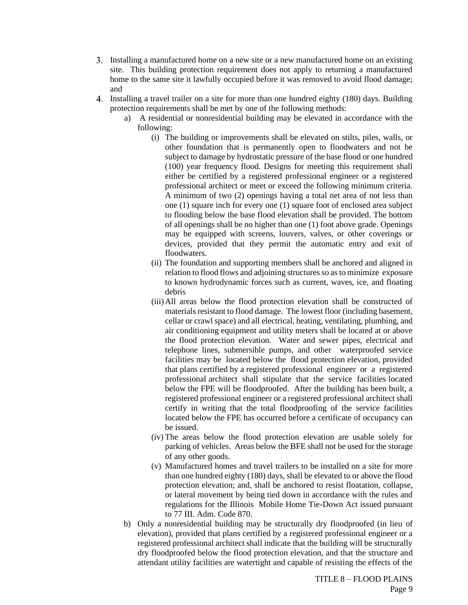- Installing a manufactured home on a new site or a new manufactured home on an existing site. This building protection requirement does not apply to returning a manufactured home to the same site it lawfully occupied before it was removed to avoid flood damage; and
- Installing a travel trailer on a site for more than one hundred eighty (180) days. Building protection requirements shall be met by one of the following methods:
	- a) A residential or nonresidential building may be elevated in accordance with the following:
		- (i) The building or improvements shall be elevated on stilts, piles, walls, or other foundation that is permanently open to floodwaters and not be subject to damage by hydrostatic pressure of the base flood or one hundred (100) year frequency flood. Designs for meeting this requirement shall either be certified by a registered professional engineer or a registered professional architect or meet or exceed the following minimum criteria. A minimum of two (2) openings having a total net area of not less than one (1) square inch for every one (1) square foot of enclosed area subject to flooding below the base flood elevation shall be provided. The bottom of all openings shall be no higher than one (1) foot above grade. Openings may be equipped with screens, louvers, valves, or other coverings or devices, provided that they permit the automatic entry and exit of floodwaters.
		- (ii) The foundation and supporting members shall be anchored and aligned in relation to flood flows and adjoining structures so as to minimize exposure to known hydrodynamic forces such as current, waves, ice, and floating debris
		- (iii)All areas below the flood protection elevation shall be constructed of materials resistant to flood damage. The lowest floor (including basement, cellar or crawl space) and all electrical, heating, ventilating, plumbing, and air conditioning equipment and utility meters shall be located at or above the flood protection elevation. Water and sewer pipes, electrical and telephone lines, submersible pumps, and other waterproofed service facilities may be located below the flood protection elevation, provided that plans certified by a registered professional engineer or a registered professional architect shall stipulate that the service facilities located below the FPE will be floodproofed. After the building has been built, a registered professional engineer or a registered professional architect shall certify in writing that the total floodproofing of the service facilities located below the FPE has occurred before a certificate of occupancy can be issued.
		- (iv) The areas below the flood protection elevation are usable solely for parking of vehicles. Areas below the BFE shall not be used for the storage of any other goods.
		- (v) Manufactured homes and travel trailers to be installed on a site for more than one hundred eighty (180) days, shall be elevated to or above the flood protection elevation; and, shall be anchored to resist floatation, collapse, or lateral movement by being tied down in accordance with the rules and regulations for the Illinois Mobile Home Tie-Down Act issued pursuant to 77 III. Adm. Code 870.
	- b) Only a nonresidential building may be structurally dry floodproofed (in lieu of elevation), provided that plans certified by a registered professional engineer or a registered professional architect shall indicate that the building will be structurally dry floodproofed below the flood protection elevation, and that the structure and attendant utility facilities are watertight and capable of resisting the effects of the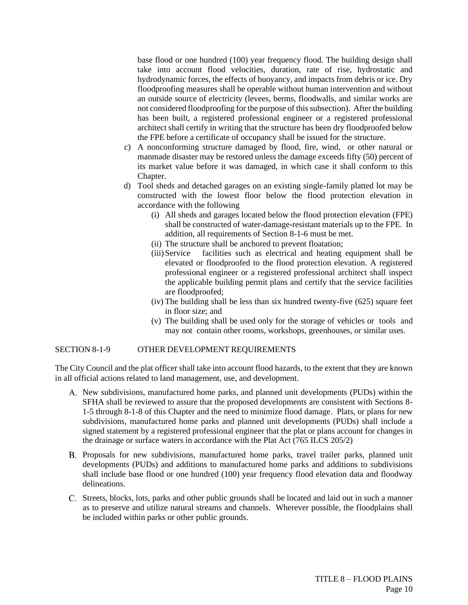base flood or one hundred (100) year frequency flood. The building design shall take into account flood velocities, duration, rate of rise, hydrostatic and hydrodynamic forces, the effects of buoyancy, and impacts from debris or ice. Dry floodproofing measures shall be operable without human intervention and without an outside source of electricity (levees, berms, floodwalls, and similar works are not considered floodproofing for the purpose of this subsection). After the building has been built, a registered professional engineer or a registered professional architect shall certify in writing that the structure has been dry floodproofed below the FPE before a certificate of occupancy shall be issued for the structure.

- c) A nonconforming structure damaged by flood, fire, wind, or other natural or manmade disaster may be restored unless the damage exceeds fifty (50) percent of its market value before it was damaged, in which case it shall conform to this Chapter.
- d) Tool sheds and detached garages on an existing single-family platted lot may be constructed with the lowest floor below the flood protection elevation in accordance with the following
	- (i) All sheds and garages located below the flood protection elevation (FPE) shall be constructed of water-damage-resistant materials up to the FPE. In addition, all requirements of Section 8-1-6 must be met.
	- (ii) The structure shall be anchored to prevent floatation;
	- (iii)Service facilities such as electrical and heating equipment shall be elevated or floodproofed to the flood protection elevation. A registered professional engineer or a registered professional architect shall inspect the applicable building permit plans and certify that the service facilities are floodproofed;
	- (iv) The building shall be less than six hundred twenty-five (625) square feet in floor size; and
	- (v) The building shall be used only for the storage of vehicles or tools and may not contain other rooms, workshops, greenhouses, or similar uses.

#### SECTION 8-1-9 OTHER DEVELOPMENT REQUIREMENTS

The City Council and the plat officer shall take into account flood hazards, to the extent that they are known in all official actions related to land management, use, and development.

- A. New subdivisions, manufactured home parks, and planned unit developments (PUDs) within the SFHA shall be reviewed to assure that the proposed developments are consistent with Sections 8- 1-5 through 8-1-8 of this Chapter and the need to minimize flood damage. Plats, or plans for new subdivisions, manufactured home parks and planned unit developments (PUDs) shall include a signed statement by a registered professional engineer that the plat or plans account for changes in the drainage or surface waters in accordance with the Plat Act (765 ILCS 205/2)
- B. Proposals for new subdivisions, manufactured home parks, travel trailer parks, planned unit developments (PUDs) and additions to manufactured home parks and additions to subdivisions shall include base flood or one hundred (100) year frequency flood elevation data and floodway delineations.
- C. Streets, blocks, lots, parks and other public grounds shall be located and laid out in such a manner as to preserve and utilize natural streams and channels. Wherever possible, the floodplains shall be included within parks or other public grounds.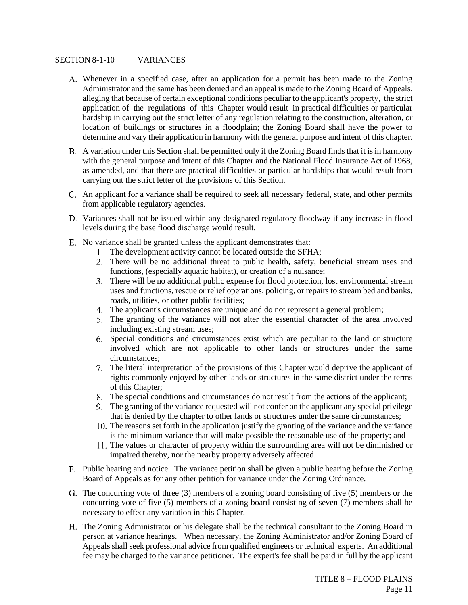#### SECTION 8-1-10 VARIANCES

- Whenever in a specified case, after an application for a permit has been made to the Zoning Administrator and the same has been denied and an appeal is made to the Zoning Board of Appeals, alleging that because of certain exceptional conditions peculiar to the applicant's property, the strict application of the regulations of this Chapter would result in practical difficulties or particular hardship in carrying out the strict letter of any regulation relating to the construction, alteration, or location of buildings or structures in a floodplain; the Zoning Board shall have the power to determine and vary their application in harmony with the general purpose and intent of this chapter.
- A variation under this Section shall be permitted only if the Zoning Board finds that it is in harmony with the general purpose and intent of this Chapter and the National Flood Insurance Act of 1968, as amended, and that there are practical difficulties or particular hardships that would result from carrying out the strict letter of the provisions of this Section.
- An applicant for a variance shall be required to seek all necessary federal, state, and other permits from applicable regulatory agencies.
- D. Variances shall not be issued within any designated regulatory floodway if any increase in flood levels during the base flood discharge would result.
- E. No variance shall be granted unless the applicant demonstrates that:
	- 1. The development activity cannot be located outside the SFHA;
	- There will be no additional threat to public health, safety, beneficial stream uses and functions, (especially aquatic habitat), or creation of a nuisance;
	- There will be no additional public expense for flood protection, lost environmental stream uses and functions, rescue or relief operations, policing, or repairs to stream bed and banks, roads, utilities, or other public facilities;
	- The applicant's circumstances are unique and do not represent a general problem;
	- The granting of the variance will not alter the essential character of the area involved including existing stream uses;
	- Special conditions and circumstances exist which are peculiar to the land or structure involved which are not applicable to other lands or structures under the same circumstances;
	- The literal interpretation of the provisions of this Chapter would deprive the applicant of rights commonly enjoyed by other lands or structures in the same district under the terms of this Chapter;
	- The special conditions and circumstances do not result from the actions of the applicant;
	- The granting of the variance requested will not confer on the applicant any special privilege that is denied by the chapter to other lands or structures under the same circumstances;
	- The reasons set forth in the application justify the granting of the variance and the variance is the minimum variance that will make possible the reasonable use of the property; and
	- The values or character of property within the surrounding area will not be diminished or impaired thereby, nor the nearby property adversely affected.
- Public hearing and notice. The variance petition shall be given a public hearing before the Zoning Board of Appeals as for any other petition for variance under the Zoning Ordinance.
- G. The concurring vote of three (3) members of a zoning board consisting of five (5) members or the concurring vote of five (5) members of a zoning board consisting of seven (7) members shall be necessary to effect any variation in this Chapter.
- The Zoning Administrator or his delegate shall be the technical consultant to the Zoning Board in person at variance hearings. When necessary, the Zoning Administrator and/or Zoning Board of Appeals shall seek professional advice from qualified engineers or technical experts. An additional fee may be charged to the variance petitioner. The expert's fee shall be paid in full by the applicant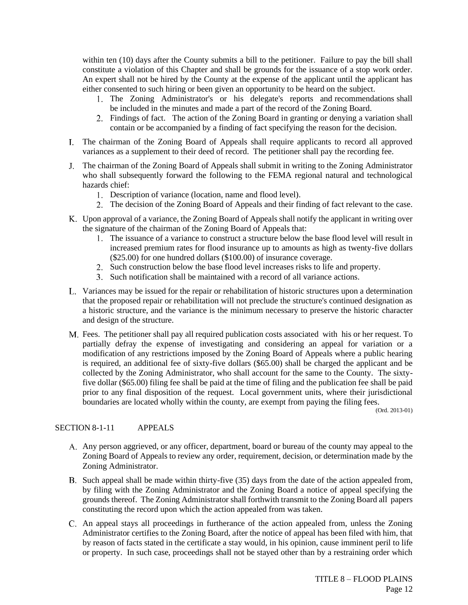within ten (10) days after the County submits a bill to the petitioner. Failure to pay the bill shall constitute a violation of this Chapter and shall be grounds for the issuance of a stop work order. An expert shall not be hired by the County at the expense of the applicant until the applicant has either consented to such hiring or been given an opportunity to be heard on the subject.

- The Zoning Administrator's or his delegate's reports and recommendations shall be included in the minutes and made a part of the record of the Zoning Board.
- Findings of fact. The action of the Zoning Board in granting or denying a variation shall contain or be accompanied by a finding of fact specifying the reason for the decision.
- The chairman of the Zoning Board of Appeals shall require applicants to record all approved variances as a supplement to their deed of record. The petitioner shall pay the recording fee.
- The chairman of the Zoning Board of Appeals shall submit in writing to the Zoning Administrator who shall subsequently forward the following to the FEMA regional natural and technological hazards chief:
	- Description of variance (location, name and flood level).
	- The decision of the Zoning Board of Appeals and their finding of fact relevant to the case.
- Upon approval of a variance, the Zoning Board of Appeals shall notify the applicant in writing over the signature of the chairman of the Zoning Board of Appeals that:
	- The issuance of a variance to construct a structure below the base flood level will result in increased premium rates for flood insurance up to amounts as high as twenty-five dollars (\$25.00) for one hundred dollars (\$100.00) of insurance coverage.
	- Such construction below the base flood level increases risks to life and property.
	- Such notification shall be maintained with a record of all variance actions.
- Variances may be issued for the repair or rehabilitation of historic structures upon a determination that the proposed repair or rehabilitation will not preclude the structure's continued designation as a historic structure, and the variance is the minimum necessary to preserve the historic character and design of the structure.
- Fees. The petitioner shall pay all required publication costs associated with his or her request. To partially defray the expense of investigating and considering an appeal for variation or a modification of any restrictions imposed by the Zoning Board of Appeals where a public hearing is required, an additional fee of sixty-five dollars (\$65.00) shall be charged the applicant and be collected by the Zoning Administrator, who shall account for the same to the County. The sixtyfive dollar (\$65.00) filing fee shall be paid at the time of filing and the publication fee shall be paid prior to any final disposition of the request. Local government units, where their jurisdictional boundaries are located wholly within the county, are exempt from paying the filing fees.

(Ord. 2013-01)

#### SECTION 8-1-11 APPEALS

- Any person aggrieved, or any officer, department, board or bureau of the county may appeal to the Zoning Board of Appeals to review any order, requirement, decision, or determination made by the Zoning Administrator.
- B. Such appeal shall be made within thirty-five (35) days from the date of the action appealed from, by filing with the Zoning Administrator and the Zoning Board a notice of appeal specifying the grounds thereof. The Zoning Administrator shall forthwith transmit to the Zoning Board all papers constituting the record upon which the action appealed from was taken.
- An appeal stays all proceedings in furtherance of the action appealed from, unless the Zoning Administrator certifies to the Zoning Board, after the notice of appeal has been filed with him, that by reason of facts stated in the certificate a stay would, in his opinion, cause imminent peril to life or property. In such case, proceedings shall not be stayed other than by a restraining order which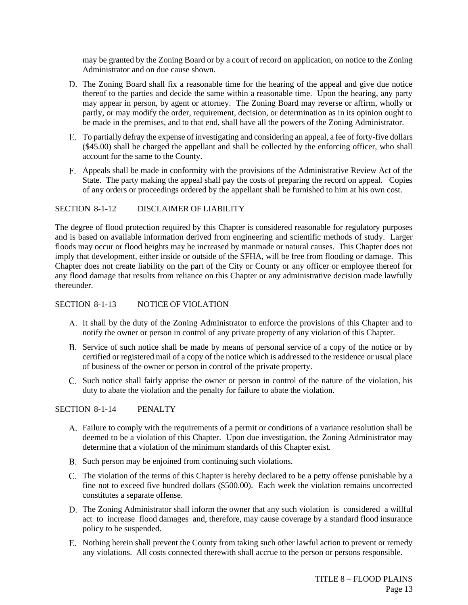may be granted by the Zoning Board or by a court of record on application, on notice to the Zoning Administrator and on due cause shown.

- D. The Zoning Board shall fix a reasonable time for the hearing of the appeal and give due notice thereof to the parties and decide the same within a reasonable time. Upon the hearing, any party may appear in person, by agent or attorney. The Zoning Board may reverse or affirm, wholly or partly, or may modify the order, requirement, decision, or determination as in its opinion ought to be made in the premises, and to that end, shall have all the powers of the Zoning Administrator.
- To partially defray the expense of investigating and considering an appeal, a fee of forty-five dollars (\$45.00) shall be charged the appellant and shall be collected by the enforcing officer, who shall account for the same to the County.
- Appeals shall be made in conformity with the provisions of the Administrative Review Act of the State. The party making the appeal shall pay the costs of preparing the record on appeal. Copies of any orders or proceedings ordered by the appellant shall be furnished to him at his own cost.

### SECTION 8-1-12 DISCLAIMER OF LIABILITY

The degree of flood protection required by this Chapter is considered reasonable for regulatory purposes and is based on available information derived from engineering and scientific methods of study. Larger floods may occur or flood heights may be increased by manmade or natural causes. This Chapter does not imply that development, either inside or outside of the SFHA, will be free from flooding or damage. This Chapter does not create liability on the part of the City or County or any officer or employee thereof for any flood damage that results from reliance on this Chapter or any administrative decision made lawfully thereunder.

#### SECTION 8-1-13 NOTICE OF VIOLATION

- It shall by the duty of the Zoning Administrator to enforce the provisions of this Chapter and to notify the owner or person in control of any private property of any violation of this Chapter.
- B. Service of such notice shall be made by means of personal service of a copy of the notice or by certified or registered mail of a copy of the notice which is addressed to the residence or usual place of business of the owner or person in control of the private property.
- C. Such notice shall fairly apprise the owner or person in control of the nature of the violation, his duty to abate the violation and the penalty for failure to abate the violation.

#### SECTION 8-1-14 PENALTY

- Failure to comply with the requirements of a permit or conditions of a variance resolution shall be deemed to be a violation of this Chapter. Upon due investigation, the Zoning Administrator may determine that a violation of the minimum standards of this Chapter exist.
- B. Such person may be enjoined from continuing such violations.
- C. The violation of the terms of this Chapter is hereby declared to be a petty offense punishable by a fine not to exceed five hundred dollars (\$500.00). Each week the violation remains uncorrected constitutes a separate offense.
- The Zoning Administrator shall inform the owner that any such violation is considered a willful act to increase flood damages and, therefore, may cause coverage by a standard flood insurance policy to be suspended.
- E. Nothing herein shall prevent the County from taking such other lawful action to prevent or remedy any violations. All costs connected therewith shall accrue to the person or persons responsible.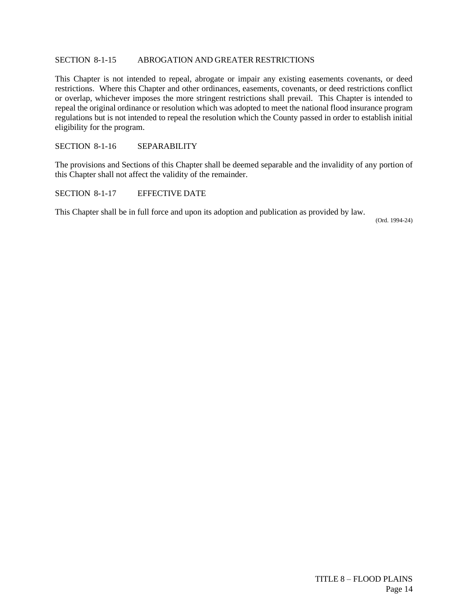#### SECTION 8-1-15 ABROGATION AND GREATER RESTRICTIONS

This Chapter is not intended to repeal, abrogate or impair any existing easements covenants, or deed restrictions. Where this Chapter and other ordinances, easements, covenants, or deed restrictions conflict or overlap, whichever imposes the more stringent restrictions shall prevail. This Chapter is intended to repeal the original ordinance or resolution which was adopted to meet the national flood insurance program regulations but is not intended to repeal the resolution which the County passed in order to establish initial eligibility for the program.

#### SECTION 8-1-16 SEPARABILITY

The provisions and Sections of this Chapter shall be deemed separable and the invalidity of any portion of this Chapter shall not affect the validity of the remainder.

SECTION 8-1-17 EFFECTIVE DATE

This Chapter shall be in full force and upon its adoption and publication as provided by law.

(Ord. 1994-24)